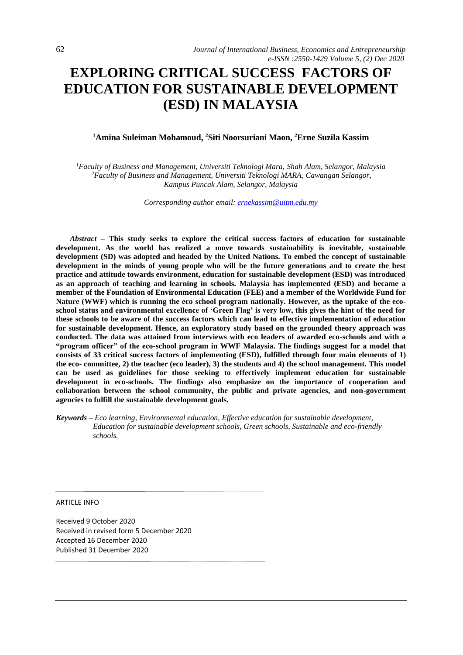# **EXPLORING CRITICAL SUCCESS FACTORS OF EDUCATION FOR SUSTAINABLE DEVELOPMENT (ESD) IN MALAYSIA**

# **<sup>1</sup>Amina Suleiman Mohamoud, <sup>2</sup>Siti Noorsuriani Maon, <sup>2</sup>Erne Suzila Kassim**

*<sup>1</sup>Faculty of Business and Management, Universiti Teknologi Mara, Shah Alam, Selangor, Malaysia <sup>2</sup>Faculty of Business and Management, Universiti Teknologi MARA, Cawangan Selangor, Kampus Puncak Alam, Selangor, Malaysia*

*Corresponding author email[: ernekassim@uitm.edu.my](mailto:ernekassim@uitm.edu.my)*

*Abstract –* **This study seeks to explore the critical success factors of education for sustainable development. As the world has realized a move towards sustainability is inevitable, sustainable development (SD) was adopted and headed by the United Nations. To embed the concept of sustainable development in the minds of young people who will be the future generations and to create the best practice and attitude towards environment, education for sustainable development (ESD) was introduced as an approach of teaching and learning in schools. Malaysia has implemented (ESD) and became a member of the Foundation of Environmental Education (FEE) and a member of the Worldwide Fund for Nature (WWF) which is running the eco school program nationally. However, as the uptake of the ecoschool status and environmental excellence of 'Green Flag' is very low, this gives the hint of the need for these schools to be aware of the success factors which can lead to effective implementation of education for sustainable development. Hence, an exploratory study based on the grounded theory approach was conducted. The data was attained from interviews with eco leaders of awarded eco-schools and with a "program officer" of the eco-school program in WWF Malaysia. The findings suggest for a model that consists of 33 critical success factors of implementing (ESD), fulfilled through four main elements of 1) the eco- committee, 2) the teacher (eco leader), 3) the students and 4) the school management. This model can be used as guidelines for those seeking to effectively implement education for sustainable development in eco-schools. The findings also emphasize on the importance of cooperation and collaboration between the school community, the public and private agencies, and non-government agencies to fulfill the sustainable development goals.**

*Keywords – Eco learning, Environmental education, Effective education for sustainable development, Education for sustainable development schools, Green schools, Sustainable and eco-friendly schools.* 

ARTICLE INFO

Received 9 October 2020 Received in revised form 5 December 2020 Accepted 16 December 2020 Published 31 December 2020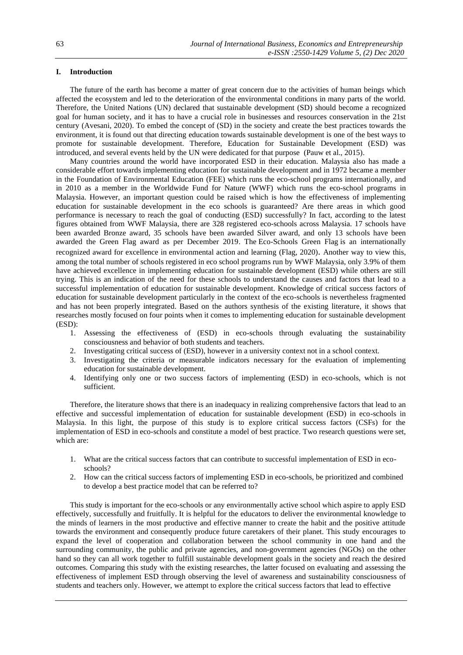# **I. Introduction**

The future of the earth has become a matter of great concern due to the activities of human beings which affected the ecosystem and led to the deterioration of the environmental conditions in many parts of the world. Therefore, the United Nations (UN) declared that sustainable development (SD) should become a recognized goal for human society, and it has to have a crucial role in businesses and resources conservation in the 21st century (Avesani, 2020). To embed the concept of (SD) in the society and create the best practices towards the environment, it is found out that directing education towards sustainable development is one of the best ways to promote for sustainable development. Therefore, Education for Sustainable Development (ESD) was introduced, and several events held by the UN were dedicated for that purpose (Pauw et al., 2015).

Many countries around the world have incorporated ESD in their education. Malaysia also has made a considerable effort towards implementing education for sustainable development and in 1972 became a member in the Foundation of Environmental Education (FEE) which runs the eco-school programs internationally, and in 2010 as a member in the Worldwide Fund for Nature (WWF) which runs the eco-school programs in Malaysia. However, an important question could be raised which is how the effectiveness of implementing education for sustainable development in the eco schools is guaranteed? Are there areas in which good performance is necessary to reach the goal of conducting (ESD) successfully? In fact, according to the latest figures obtained from WWF Malaysia, there are 328 registered eco-schools across Malaysia. 17 schools have been awarded Bronze award, 35 schools have been awarded Silver award, and only 13 schools have been awarded the Green Flag award as per December 2019. The Eco-Schools Green Flag is an internationally recognized award for excellence in environmental action and learning (Flag, 2020). Another way to view this, among the total number of schools registered in eco school programs run by WWF Malaysia, only 3.9% of them have achieved excellence in implementing education for sustainable development (ESD) while others are still trying. This is an indication of the need for these schools to understand the causes and factors that lead to a successful implementation of education for sustainable development. Knowledge of critical success factors of education for sustainable development particularly in the context of the eco-schools is nevertheless fragmented and has not been properly integrated. Based on the authors synthesis of the existing literature, it shows that researches mostly focused on four points when it comes to implementing education for sustainable development (ESD):

- 1. Assessing the effectiveness of (ESD) in eco-schools through evaluating the sustainability consciousness and behavior of both students and teachers.
- 2. Investigating critical success of (ESD), however in a university context not in a school context.
- 3. Investigating the criteria or measurable indicators necessary for the evaluation of implementing education for sustainable development.
- 4. Identifying only one or two success factors of implementing (ESD) in eco-schools, which is not sufficient.

Therefore, the literature shows that there is an inadequacy in realizing comprehensive factors that lead to an effective and successful implementation of education for sustainable development (ESD) in eco-schools in Malaysia. In this light, the purpose of this study is to explore critical success factors (CSFs) for the implementation of ESD in eco-schools and constitute a model of best practice. Two research questions were set, which are:

- 1. What are the critical success factors that can contribute to successful implementation of ESD in ecoschools?
- 2. How can the critical success factors of implementing ESD in eco-schools, be prioritized and combined to develop a best practice model that can be referred to?

This study is important for the eco-schools or any environmentally active school which aspire to apply ESD effectively, successfully and fruitfully. It is helpful for the educators to deliver the environmental knowledge to the minds of learners in the most productive and effective manner to create the habit and the positive attitude towards the environment and consequently produce future caretakers of their planet. This study encourages to expand the level of cooperation and collaboration between the school community in one hand and the surrounding community, the public and private agencies, and non-government agencies (NGOs) on the other hand so they can all work together to fulfill sustainable development goals in the society and reach the desired outcomes. Comparing this study with the existing researches, the latter focused on evaluating and assessing the effectiveness of implement ESD through observing the level of awareness and sustainability consciousness of students and teachers only. However, we attempt to explore the critical success factors that lead to effective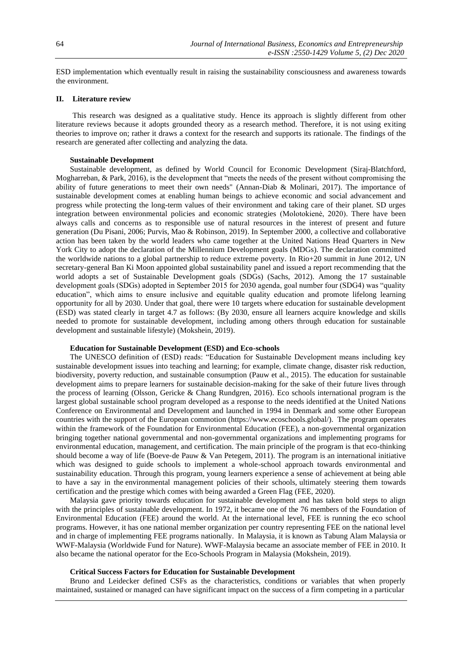ESD implementation which eventually result in raising the sustainability consciousness and awareness towards the environment.

## **II. Literature review**

This research was designed as a qualitative study. Hence its approach is slightly different from other literature reviews because it adopts grounded theory as a research method. Therefore, it is not using exiting theories to improve on; rather it draws a context for the research and supports its rationale. The findings of the research are generated after collecting and analyzing the data.

#### **Sustainable Development**

Sustainable development, as defined by World Council for Economic Development (Siraj-Blatchford, Mogharreban, & Park, 2016), is the development that "meets the needs of the present without compromising the ability of future generations to meet their own needs" (Annan-Diab & Molinari, 2017). The importance of sustainable development comes at enabling human beings to achieve economic and social advancement and progress while protecting the long-term values of their environment and taking care of their planet. SD urges integration between environmental policies and economic strategies (Molotokienė, 2020). There have been always calls and concerns as to responsible use of natural resources in the interest of present and future generation (Du Pisani, 2006; Purvis, Mao & Robinson, 2019). In September 2000, a collective and collaborative action has been taken by the world leaders who came together at the United Nations Head Quarters in New York City to adopt the declaration of the Millennium Development goals (MDGs). The declaration committed the worldwide nations to a global partnership to reduce extreme poverty. In Rio+20 summit in June 2012, UN secretary-general Ban Ki Moon appointed global sustainability panel and issued a report recommending that the world adopts a set of Sustainable Development goals (SDGs) (Sachs, 2012). Among the 17 sustainable development goals (SDGs) adopted in September 2015 for 2030 agenda, goal number four (SDG4) was "quality education", which aims to ensure inclusive and equitable quality education and promote lifelong learning opportunity for all by 2030. Under that goal, there were 10 targets where education for sustainable development (ESD) was stated clearly in target 4.7 as follows: (By 2030, ensure all learners acquire knowledge and skills needed to promote for sustainable development, including among others through education for sustainable development and sustainable lifestyle) (Mokshein, 2019).

## **Education for Sustainable Development (ESD) and Eco-schools**

The UNESCO definition of (ESD) reads: "Education for Sustainable Development means including key sustainable development issues into teaching and learning; for example, climate change, disaster risk reduction, biodiversity, poverty reduction, and sustainable consumption (Pauw et al., 2015). The education for sustainable development aims to prepare learners for sustainable decision-making for the sake of their future lives through the process of learning (Olsson, Gericke & Chang Rundgren, 2016). Eco schools international program is the largest global sustainable school program developed as a response to the needs identified at the United Nations Conference on Environmental and Development and launched in 1994 in Denmark and some other European countries with the support of the European commotion [\(https://www.ecoschools.global/\)](https://www.ecoschools.global/). The program operates within the framework of the Foundation for Environmental Education (FEE), a non-governmental organization bringing together national governmental and non-governmental organizations and implementing programs for environmental education, management, and certification. The main principle of the program is that eco-thinking should become a way of life (Boeve-de Pauw & Van Petegem, 2011). The program is an international initiative which was designed to guide schools to implement a whole-school approach towards environmental and sustainability education. Through this program, young learners experience a sense of achievement at being able to have a say in the environmental management policies of their schools, ultimately steering them towards certification and the prestige which comes with being awarded a Green Flag (FEE, 2020).

Malaysia gave priority towards education for sustainable development and has taken bold steps to align with the principles of sustainable development. In 1972, it became one of the 76 members of the Foundation of Environmental Education (FEE) around the world. At the international level, FEE is running the eco school programs. However, it has one national member organization per country representing FEE on the national level and in charge of implementing FEE programs nationally. In Malaysia, it is known as Tabung Alam Malaysia or WWF-Malaysia (Worldwide Fund for Nature). WWF-Malaysia became an associate member of FEE in 2010. It also became the national operator for the [Eco-Schools Program](http://eco-schools.wwf.org.my/) in Malaysia (Mokshein, 2019).

#### **Critical Success Factors for Education for Sustainable Development**

Bruno and Leidecker defined CSFs as the characteristics, conditions or variables that when properly maintained, sustained or managed can have significant impact on the success of a firm competing in a particular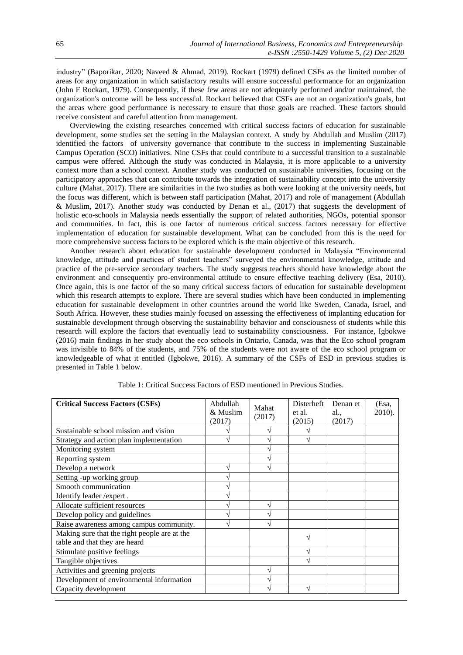industry" (Baporikar, 2020; Naveed & Ahmad, 2019). Rockart (1979) defined CSFs as the limited number of areas for any organization in which satisfactory results will ensure successful performance for an organization (John F Rockart, 1979). Consequently, if these few areas are not adequately performed and/or maintained, the organization's outcome will be less successful. Rockart believed that CSFs are not an organization's goals, but the areas where good performance is necessary to ensure that those goals are reached. These factors should receive consistent and careful attention from management.

Overviewing the existing researches concerned with critical success factors of education for sustainable development, some studies set the setting in the Malaysian context. A study by Abdullah and Muslim (2017) identified the factors of university governance that contribute to the success in implementing Sustainable Campus Operation (SCO) initiatives. Nine CSFs that could contribute to a successful transition to a sustainable campus were offered. Although the study was conducted in Malaysia, it is more applicable to a university context more than a school context. Another study was conducted on sustainable universities, focusing on the participatory approaches that can contribute towards the integration of sustainability concept into the university culture (Mahat, 2017). There are similarities in the two studies as both were looking at the university needs, but the focus was different, which is between staff participation (Mahat, 2017) and role of management (Abdullah & Muslim, 2017). Another study was conducted by Denan et al., (2017) that suggests the development of holistic eco-schools in Malaysia needs essentially the support of related authorities, NGOs, potential sponsor and communities. In fact, this is one factor of numerous critical success factors necessary for effective implementation of education for sustainable development. What can be concluded from this is the need for more comprehensive success factors to be explored which is the main objective of this research.

Another research about education for sustainable development conducted in Malaysia "Environmental knowledge, attitude and practices of student teachers" surveyed the environmental knowledge, attitude and practice of the pre-service secondary teachers. The study suggests teachers should have knowledge about the environment and consequently pro-environmental attitude to ensure effective teaching delivery (Esa, 2010). Once again, this is one factor of the so many critical success factors of education for sustainable development which this research attempts to explore. There are several studies which have been conducted in implementing education for sustainable development in other countries around the world like Sweden, Canada, Israel, and South Africa. However, these studies mainly focused on assessing the effectiveness of implanting education for sustainable development through observing the sustainability behavior and consciousness of students while this research will explore the factors that eventually lead to sustainability consciousness. For instance, Igbokwe (2016) main findings in her study about the eco schools in Ontario, Canada, was that the Eco school program was invisible to 84% of the students, and 75% of the students were not aware of the eco school program or knowledgeable of what it entitled (Igbokwe, 2016). A summary of the CSFs of ESD in previous studies is presented in Table 1 below.

| <b>Critical Success Factors (CSFs)</b>       | Abdullah<br>& Muslim<br>(2017) | Mahat<br>(2017) | <b>Disterheft</b><br>et al.<br>(2015) | Denan et<br>al.,<br>(2017) | (Esa,<br>2010). |
|----------------------------------------------|--------------------------------|-----------------|---------------------------------------|----------------------------|-----------------|
| Sustainable school mission and vision        |                                |                 |                                       |                            |                 |
| Strategy and action plan implementation      |                                |                 |                                       |                            |                 |
| Monitoring system                            |                                |                 |                                       |                            |                 |
| Reporting system                             |                                |                 |                                       |                            |                 |
| Develop a network                            |                                |                 |                                       |                            |                 |
| Setting -up working group                    |                                |                 |                                       |                            |                 |
| Smooth communication                         |                                |                 |                                       |                            |                 |
| Identify leader /expert.                     |                                |                 |                                       |                            |                 |
| Allocate sufficient resources                |                                |                 |                                       |                            |                 |
| Develop policy and guidelines                |                                |                 |                                       |                            |                 |
| Raise awareness among campus community.      |                                |                 |                                       |                            |                 |
| Making sure that the right people are at the |                                |                 |                                       |                            |                 |
| table and that they are heard                |                                |                 |                                       |                            |                 |
| Stimulate positive feelings                  |                                |                 |                                       |                            |                 |
| Tangible objectives                          |                                |                 |                                       |                            |                 |
| Activities and greening projects             |                                |                 |                                       |                            |                 |
| Development of environmental information     |                                |                 |                                       |                            |                 |
| Capacity development                         |                                |                 |                                       |                            |                 |

Table 1: Critical Success Factors of ESD mentioned in Previous Studies.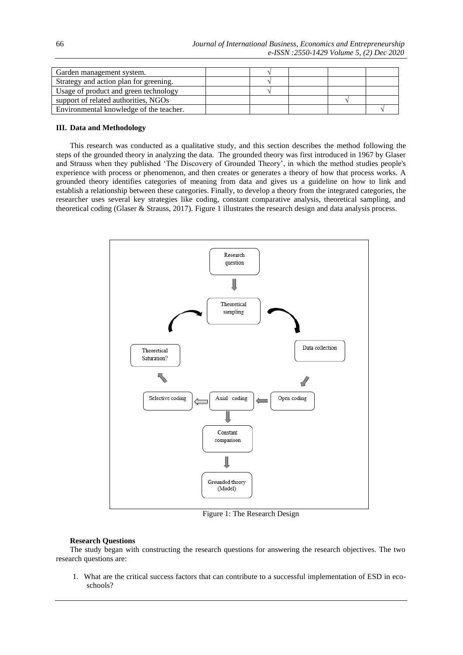| Garden management system.               |  |  |  |
|-----------------------------------------|--|--|--|
| Strategy and action plan for greening.  |  |  |  |
| Usage of product and green technology   |  |  |  |
| support of related authorities, NGOs    |  |  |  |
| Environmental knowledge of the teacher. |  |  |  |

## **III. Data and Methodology**

This research was conducted as a qualitative study, and this section describes the method following the steps of the grounded theory in analyzing the data. The grounded theory was first introduced in 1967 by Glaser and Strauss when they published 'The Discovery of Grounded Theory', in which the method studies people's experience with process or phenomenon, and then creates or generates a theory of how that process works. A grounded theory identifies categories of meaning from data and gives us a guideline on how to link and establish a relationship between these categories. Finally, to develop a theory from the integrated categories, the researcher uses several key strategies like coding, constant comparative analysis, theoretical sampling, and theoretical coding (Glaser & Strauss, 2017). Figure 1 illustrates the research design and data analysis process.



Figure 1: The Research Design

### **Research Questions**

The study began with constructing the research questions for answering the research objectives. The two research questions are:

1. What are the critical success factors that can contribute to a successful implementation of ESD in ecoschools?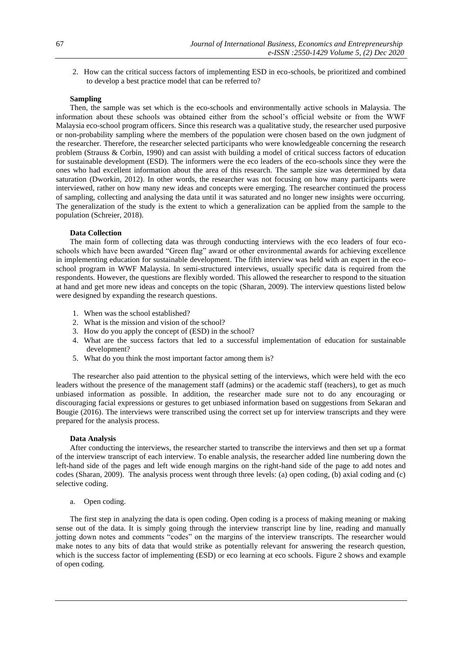2. How can the critical success factors of implementing ESD in eco-schools, be prioritized and combined to develop a best practice model that can be referred to?

## **Sampling**

Then, the sample was set which is the eco-schools and environmentally active schools in Malaysia. The information about these schools was obtained either from the school's official website or from the WWF Malaysia eco-school program officers. Since this research was a qualitative study, the researcher used purposive or non-probability sampling where the members of the population were chosen based on the own judgment of the researcher. Therefore, the researcher selected participants who were knowledgeable concerning the research problem (Strauss & Corbin, 1990) and can assist with building a model of critical success factors of education for sustainable development (ESD). The informers were the eco leaders of the eco-schools since they were the ones who had excellent information about the area of this research. The sample size was determined by data saturation (Dworkin, 2012). In other words, the researcher was not focusing on how many participants were interviewed, rather on how many new ideas and concepts were emerging. The researcher continued the process of sampling, collecting and analysing the data until it was saturated and no longer new insights were occurring. The generalization of the study is the extent to which a generalization can be applied from the sample to the population (Schreier, 2018).

#### **Data Collection**

The main form of collecting data was through conducting interviews with the eco leaders of four ecoschools which have been awarded "Green flag" award or other environmental awards for achieving excellence in implementing education for sustainable development. The fifth interview was held with an expert in the ecoschool program in WWF Malaysia. In semi-structured interviews, usually specific data is required from the respondents. However, the questions are flexibly worded. This allowed the researcher to respond to the situation at hand and get more new ideas and concepts on the topic (Sharan, 2009). The interview questions listed below were designed by expanding the research questions.

- 1. When was the school established?
- 2. What is the mission and vision of the school?
- 3. How do you apply the concept of (ESD) in the school?
- 4. What are the success factors that led to a successful implementation of education for sustainable development?
- 5. What do you think the most important factor among them is?

The researcher also paid attention to the physical setting of the interviews, which were held with the eco leaders without the presence of the management staff (admins) or the academic staff (teachers), to get as much unbiased information as possible. In addition, the researcher made sure not to do any encouraging or discouraging facial expressions or gestures to get unbiased information based on suggestions from Sekaran and Bougie (2016). The interviews were transcribed using the correct set up for interview transcripts and they were prepared for the analysis process.

## **Data Analysis**

After conducting the interviews, the researcher started to transcribe the interviews and then set up a format of the interview transcript of each interview. To enable analysis, the researcher added line numbering down the left-hand side of the pages and left wide enough margins on the right-hand side of the page to add notes and codes (Sharan, 2009). The analysis process went through three levels: (a) open coding, (b) axial coding and (c) selective coding.

a. Open coding.

The first step in analyzing the data is open coding. Open coding is a process of making meaning or making sense out of the data. It is simply going through the interview transcript line by line, reading and manually jotting down notes and comments "codes" on the margins of the interview transcripts. The researcher would make notes to any bits of data that would strike as potentially relevant for answering the research question, which is the success factor of implementing (ESD) or eco learning at eco schools. Figure 2 shows and example of open coding.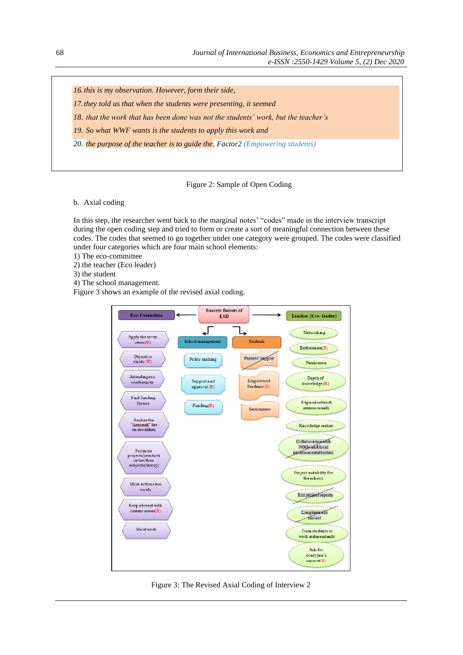*16.this is my observation. However, form their side,* 

*17.they told us that when the students were presenting, it seemed* 

*18. that the work that has been done was not the students' work, but the teacher's*

*19. So what WWF wants is the students to apply this work and* 

*20. the purpose of the teacher is to guide the, Factor2 (Empowering students)*

## Figure 2: Sample of Open Coding

b. Axial coding

In this step, the researcher went back to the marginal notes' "codes" made in the interview transcript during the open coding step and tried to form or create a sort of meaningful connection between these codes. The codes that seemed to go together under one category were grouped. The codes were classified under four categories which are four main school elements:

1) The eco-committee

2) the teacher (Eco leader)

3) the student

4) The school management.

Figure 3 shows an example of the revised axial coding.



Figure 3: The Revised Axial Coding of Interview 2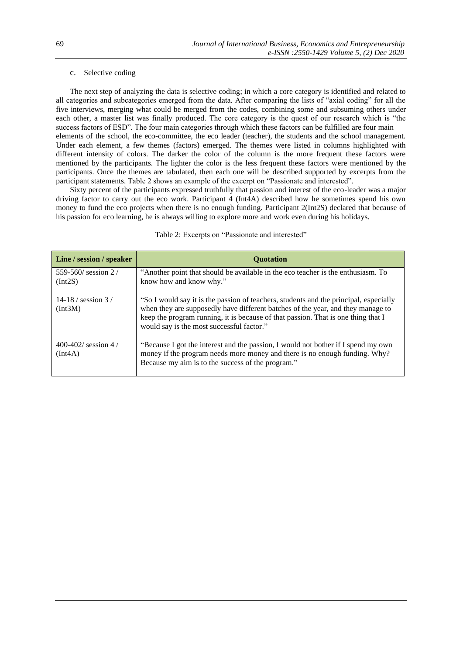## c. Selective coding

The next step of analyzing the data is selective coding; in which a core category is identified and related to all categories and subcategories emerged from the data. After comparing the lists of "axial coding" for all the five interviews, merging what could be merged from the codes, combining some and subsuming others under each other, a master list was finally produced. The core category is the quest of our research which is "the success factors of ESD". The four main categories through which these factors can be fulfilled are four main elements of the school, the eco-committee, the eco leader (teacher), the students and the school management. Under each element, a few themes (factors) emerged. The themes were listed in columns highlighted with different intensity of colors. The darker the color of the column is the more frequent these factors were mentioned by the participants. The lighter the color is the less frequent these factors were mentioned by the participants. Once the themes are tabulated, then each one will be described supported by excerpts from the participant statements. Table 2 shows an example of the excerpt on "Passionate and interested".

Sixty percent of the participants expressed truthfully that passion and interest of the eco-leader was a major driving factor to carry out the eco work. Participant 4 (Int4A) described how he sometimes spend his own money to fund the eco projects when there is no enough funding. Participant 2(Int2S) declared that because of his passion for eco learning, he is always willing to explore more and work even during his holidays.

| Line / session / speaker        | <b>Ouotation</b>                                                                                                                                                                                                                                                                                           |
|---------------------------------|------------------------------------------------------------------------------------------------------------------------------------------------------------------------------------------------------------------------------------------------------------------------------------------------------------|
| 559-560/ session 2/<br>(Int2S)  | "Another point that should be available in the eco teacher is the enthusiasm. To<br>know how and know why."                                                                                                                                                                                                |
| 14-18 / session $3/$<br>(Int3M) | "So I would say it is the passion of teachers, students and the principal, especially<br>when they are supposedly have different batches of the year, and they manage to<br>keep the program running, it is because of that passion. That is one thing that I<br>would say is the most successful factor." |
| 400-402/ session 4/<br>(Int4A)  | "Because I got the interest and the passion, I would not bother if I spend my own<br>money if the program needs more money and there is no enough funding. Why?<br>Because my aim is to the success of the program."                                                                                       |

Table 2: Excerpts on "Passionate and interested"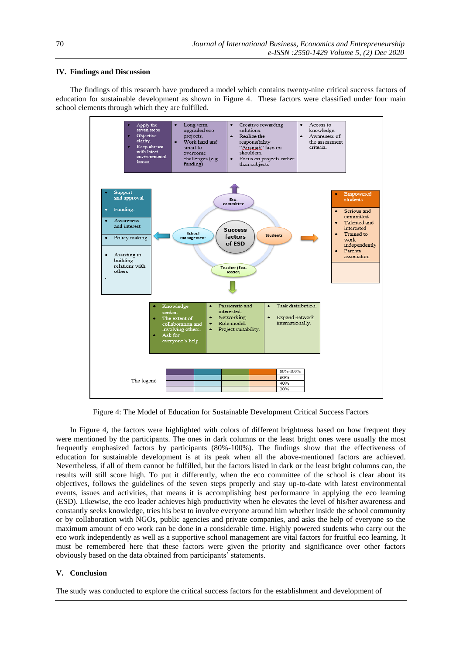# **IV. Findings and Discussion**

The findings of this research have produced a model which contains twenty-nine critical success factors of education for sustainable development as shown in Figure 4. These factors were classified under four main school elements through which they are fulfilled.



Figure 4: The Model of Education for Sustainable Development Critical Success Factors

In Figure 4, the factors were highlighted with colors of different brightness based on how frequent they were mentioned by the participants. The ones in dark columns or the least bright ones were usually the most frequently emphasized factors by participants (80%-100%). The findings show that the effectiveness of education for sustainable development is at its peak when all the above-mentioned factors are achieved. Nevertheless, if all of them cannot be fulfilled, but the factors listed in dark or the least bright columns can, the results will still score high. To put it differently, when the eco committee of the school is clear about its objectives, follows the guidelines of the seven steps properly and stay up-to-date with latest environmental events, issues and activities, that means it is accomplishing best performance in applying the eco learning (ESD). Likewise, the eco leader achieves high productivity when he elevates the level of his/her awareness and constantly seeks knowledge, tries his best to involve everyone around him whether inside the school community or by collaboration with NGOs, public agencies and private companies, and asks the help of everyone so the maximum amount of eco work can be done in a considerable time. Highly powered students who carry out the eco work independently as well as a supportive school management are vital factors for fruitful eco learning. It must be remembered here that these factors were given the priority and significance over other factors obviously based on the data obtained from participants' statements.

### **V. Conclusion**

The study was conducted to explore the critical success factors for the establishment and development of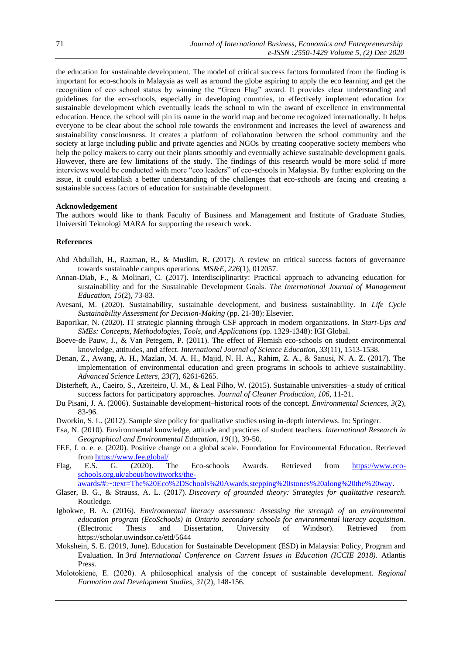the education for sustainable development. The model of critical success factors formulated from the finding is important for eco-schools in Malaysia as well as around the globe aspiring to apply the eco learning and get the recognition of eco school status by winning the "Green Flag" award. It provides clear understanding and guidelines for the eco-schools, especially in developing countries, to effectively implement education for sustainable development which eventually leads the school to win the award of excellence in environmental education. Hence, the school will pin its name in the world map and become recognized internationally. It helps everyone to be clear about the school role towards the environment and increases the level of awareness and sustainability consciousness. It creates a platform of collaboration between the school community and the society at large including public and private agencies and NGOs by creating cooperative society members who help the policy makers to carry out their plants smoothly and eventually achieve sustainable development goals. However, there are few limitations of the study. The findings of this research would be more solid if more interviews would be conducted with more "eco leaders" of eco-schools in Malaysia. By further exploring on the issue, it could establish a better understanding of the challenges that eco-schools are facing and creating a sustainable success factors of education for sustainable development.

#### **Acknowledgement**

The authors would like to thank Faculty of Business and Management and Institute of Graduate Studies, Universiti Teknologi MARA for supporting the research work.

#### **References**

- Abd Abdullah, H., Razman, R., & Muslim, R. (2017). A review on critical success factors of governance towards sustainable campus operations. *MS&E*, *226*(1), 012057.
- Annan-Diab, F., & Molinari, C. (2017). Interdisciplinarity: Practical approach to advancing education for sustainability and for the Sustainable Development Goals. *The International Journal of Management Education, 15*(2), 73-83.
- Avesani, M. (2020). Sustainability, sustainable development, and business sustainability. In *Life Cycle Sustainability Assessment for Decision-Making* (pp. 21-38): Elsevier.
- Baporikar, N. (2020). IT strategic planning through CSF approach in modern organizations. In *Start-Ups and SMEs: Concepts, Methodologies, Tools, and Applications* (pp. 1329-1348): IGI Global.
- Boeve-de Pauw, J., & Van Petegem, P. (2011). The effect of Flemish eco-schools on student environmental knowledge, attitudes, and affect. *International Journal of Science Education, 33*(11), 1513-1538.
- Denan, Z., Awang, A. H., Mazlan, M. A. H., Majid, N. H. A., Rahim, Z. A., & Sanusi, N. A. Z. (2017). The implementation of environmental education and green programs in schools to achieve sustainability. *Advanced Science Letters, 23*(7), 6261-6265.
- Disterheft, A., Caeiro, S., Azeiteiro, U. M., & Leal Filho, W. (2015). Sustainable universities–a study of critical success factors for participatory approaches. *Journal of Cleaner Production, 106*, 11-21.
- Du Pisani, J. A. (2006). Sustainable development–historical roots of the concept. *Environmental Sciences, 3*(2), 83-96.
- Dworkin, S. L. (2012). Sample size policy for qualitative studies using in-depth interviews. In: Springer.
- Esa, N. (2010). Environmental knowledge, attitude and practices of student teachers. *International Research in Geographical and Environmental Education, 19*(1), 39-50.
- FEE, f. o. e. e. (2020). Positive change on a global scale. Foundation for Environmental Education. Retrieved from<https://www.fee.global/>
- Flag, E.S. G. (2020). The Eco-schools Awards. Retrieved from [https://www.eco](https://www.eco-schools.org.uk/about/howitworks/the-awards/#:~:text=The%20Eco%2DSchools%20Awards,stepping%20stones%20along%20the%20way)[schools.org.uk/about/howitworks/the-](https://www.eco-schools.org.uk/about/howitworks/the-awards/#:~:text=The%20Eco%2DSchools%20Awards,stepping%20stones%20along%20the%20way)

[awards/#:~:text=The%20Eco%2DSchools%20Awards,stepping%20stones%20along%20the%20way.](https://www.eco-schools.org.uk/about/howitworks/the-awards/#:~:text=The%20Eco%2DSchools%20Awards,stepping%20stones%20along%20the%20way)

- Glaser, B. G., & Strauss, A. L. (2017). *Discovery of grounded theory: Strategies for qualitative research*. Routledge.
- Igbokwe, B. A. (2016). *Environmental literacy assessment: Assessing the strength of an environmental education program (EcoSchools) in Ontario secondary schools for environmental literacy acquisition*. (Electronic Thesis and Dissertation, University of Windsor). Retrieved from https://scholar.uwindsor.ca/etd/5644
- Mokshein, S. E. (2019, June). Education for Sustainable Development (ESD) in Malaysia: Policy, Program and Evaluation. In *3rd International Conference on Current Issues in Education (ICCIE 2018)*. Atlantis Press.
- Molotokienė, E. (2020). A philosophical analysis of the concept of sustainable development. *Regional Formation and Development Studies, 31*(2), 148-156.